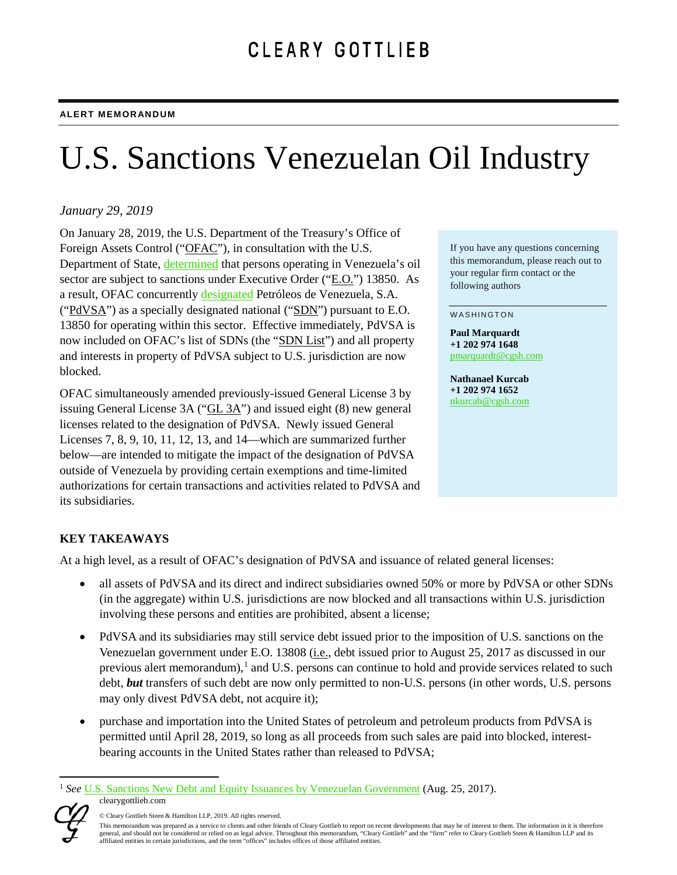# U.S. Sanctions Venezuelan Oil Industry

## *January 29, 2019*

On January 28, 2019, the U.S. Department of the Treasury's Office of Foreign Assets Control ("OFAC"), in consultation with the U.S. Department of State, [determined](https://www.state.gov/secretary/remarks/2019/01/288623.htm) that persons operating in Venezuela's oil sector are subject to sanctions under Executive Order ("E.O.") 13850. As a result, OFAC concurrently [designated](https://www.treasury.gov/resource-center/sanctions/OFAC-Enforcement/Pages/20190128.aspx) Petróleos de Venezuela, S.A. ("PdVSA") as a specially designated national ("SDN") pursuant to E.O. 13850 for operating within this sector. Effective immediately, PdVSA is now included on OFAC's list of SDNs (the "SDN List") and all property and interests in property of PdVSA subject to U.S. jurisdiction are now blocked.

OFAC simultaneously amended previously-issued General License 3 by issuing General License 3A (" $GL 3A$ ") and issued eight (8) new general licenses related to the designation of PdVSA. Newly issued General Licenses 7, 8, 9, 10, 11, 12, 13, and 14—which are summarized further below—are intended to mitigate the impact of the designation of PdVSA outside of Venezuela by providing certain exemptions and time-limited authorizations for certain transactions and activities related to PdVSA and its subsidiaries.

If you have any questions concerning this memorandum, please reach out to your regular firm contact or the following authors

#### WASHINGTON

**Paul Marquardt +1 202 974 1648** [pmarquardt@cgsh.com](mailto:pmarquardt@cgsh.com)

**Nathanael Kurcab +1 202 974 1652** [nkurcab@cgsh.com](mailto:nkurcab@cgsh.com)

## **KEY TAKEAWAYS**

At a high level, as a result of OFAC's designation of PdVSA and issuance of related general licenses:

- all assets of PdVSA and its direct and indirect subsidiaries owned 50% or more by PdVSA or other SDNs (in the aggregate) within U.S. jurisdictions are now blocked and all transactions within U.S. jurisdiction involving these persons and entities are prohibited, absent a license;
- PdVSA and its subsidiaries may still service debt issued prior to the imposition of U.S. sanctions on the Venezuelan government under E.O. 13808 (i.e., debt issued prior to August 25, 2017 as discussed in our previous alert memorandum),<sup>[1](#page-0-0)</sup> and U.S. persons can continue to hold and provide services related to such debt, *but* transfers of such debt are now only permitted to non-U.S. persons (in other words, U.S. persons may only divest PdVSA debt, not acquire it);
- purchase and importation into the United States of petroleum and petroleum products from PdVSA is permitted until April 28, 2019, so long as all proceeds from such sales are paid into blocked, interestbearing accounts in the United States rather than released to PdVSA;

<span id="page-0-0"></span>clearygottlieb.com 1 *See* [U.S. Sanctions New Debt and Equity Issuances by Venezuelan Government](https://www.clearygottlieb.com/-/media/organize-archive/cgsh/files/2017/publications/alert-memos/us-sanctions-new-debt-and-equity-issuances-by-venezuelan-government-8-25-17.pdf) (Aug. 25, 2017).



<sup>©</sup> Cleary Gottlieb Steen & Hamilton LLP, 2019. All rights reserved.

This memorandum was prepared as a service to clients and other friends of Cleary Gottlieb to report on recent developments that may be of interest to them. The information in it is therefore general, and should not be considered or relied on as legal advice. Throughout this memorandum, "Cleary Gottlieb" and the "firm" refer to Cleary Gottlieb Steen & Hamilton LLP and its affiliated entities in certain jurisdictions, and the term "offices" includes offices of those affiliated entities.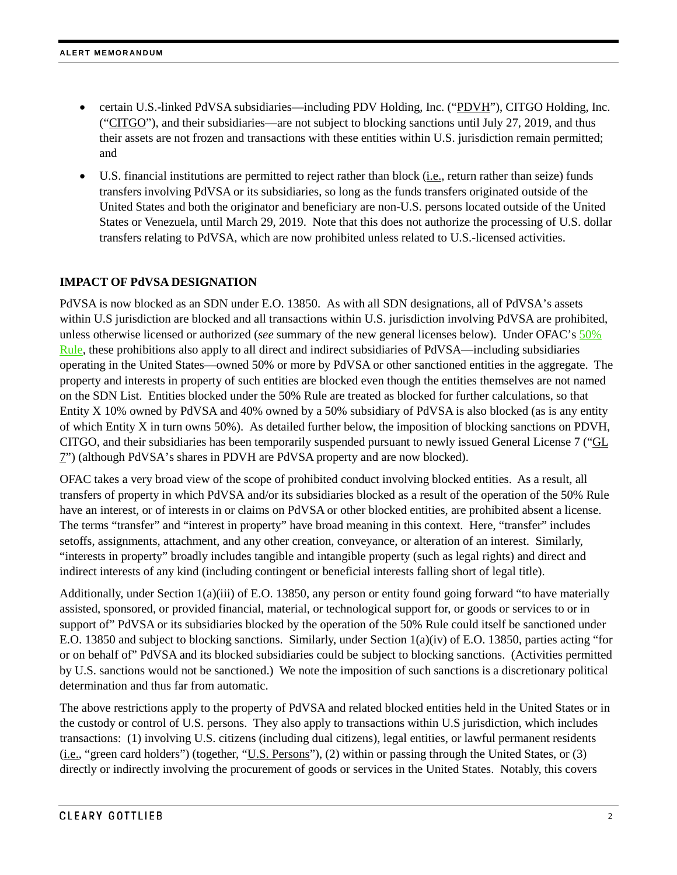- certain U.S.-linked PdVSA subsidiaries—including PDV Holding, Inc. ("PDVH"), CITGO Holding, Inc. ("CITGO"), and their subsidiaries—are not subject to blocking sanctions until July 27, 2019, and thus their assets are not frozen and transactions with these entities within U.S. jurisdiction remain permitted; and
- U.S. financial institutions are permitted to reject rather than block (i.e., return rather than seize) funds transfers involving PdVSA or its subsidiaries, so long as the funds transfers originated outside of the United States and both the originator and beneficiary are non-U.S. persons located outside of the United States or Venezuela, until March 29, 2019. Note that this does not authorize the processing of U.S. dollar transfers relating to PdVSA, which are now prohibited unless related to U.S.-licensed activities.

#### **IMPACT OF PdVSA DESIGNATION**

PdVSA is now blocked as an SDN under E.O. 13850. As with all SDN designations, all of PdVSA's assets within U.S jurisdiction are blocked and all transactions within U.S. jurisdiction involving PdVSA are prohibited, unless otherwise licensed or authorized (*see* summary of the new general licenses below). Under OFAC's [50%](https://www.treasury.gov/resource-center/sanctions/Documents/licensing_guidance.pdf)  [Rule,](https://www.treasury.gov/resource-center/sanctions/Documents/licensing_guidance.pdf) these prohibitions also apply to all direct and indirect subsidiaries of PdVSA—including subsidiaries operating in the United States—owned 50% or more by PdVSA or other sanctioned entities in the aggregate. The property and interests in property of such entities are blocked even though the entities themselves are not named on the SDN List. Entities blocked under the 50% Rule are treated as blocked for further calculations, so that Entity X 10% owned by PdVSA and 40% owned by a 50% subsidiary of PdVSA is also blocked (as is any entity of which Entity X in turn owns 50%). As detailed further below, the imposition of blocking sanctions on PDVH, CITGO, and their subsidiaries has been temporarily suspended pursuant to newly issued General License 7 ("GL 7") (although PdVSA's shares in PDVH are PdVSA property and are now blocked).

OFAC takes a very broad view of the scope of prohibited conduct involving blocked entities. As a result, all transfers of property in which PdVSA and/or its subsidiaries blocked as a result of the operation of the 50% Rule have an interest, or of interests in or claims on PdVSA or other blocked entities, are prohibited absent a license. The terms "transfer" and "interest in property" have broad meaning in this context. Here, "transfer" includes setoffs, assignments, attachment, and any other creation, conveyance, or alteration of an interest. Similarly, "interests in property" broadly includes tangible and intangible property (such as legal rights) and direct and indirect interests of any kind (including contingent or beneficial interests falling short of legal title).

Additionally, under Section 1(a)(iii) of E.O. 13850, any person or entity found going forward "to have materially assisted, sponsored, or provided financial, material, or technological support for, or goods or services to or in support of" PdVSA or its subsidiaries blocked by the operation of the 50% Rule could itself be sanctioned under E.O. 13850 and subject to blocking sanctions. Similarly, under Section 1(a)(iv) of E.O. 13850, parties acting "for or on behalf of" PdVSA and its blocked subsidiaries could be subject to blocking sanctions. (Activities permitted by U.S. sanctions would not be sanctioned.) We note the imposition of such sanctions is a discretionary political determination and thus far from automatic.

The above restrictions apply to the property of PdVSA and related blocked entities held in the United States or in the custody or control of U.S. persons. They also apply to transactions within U.S jurisdiction, which includes transactions: (1) involving U.S. citizens (including dual citizens), legal entities, or lawful permanent residents (i.e., "green card holders") (together, "U.S. Persons"), (2) within or passing through the United States, or (3) directly or indirectly involving the procurement of goods or services in the United States. Notably, this covers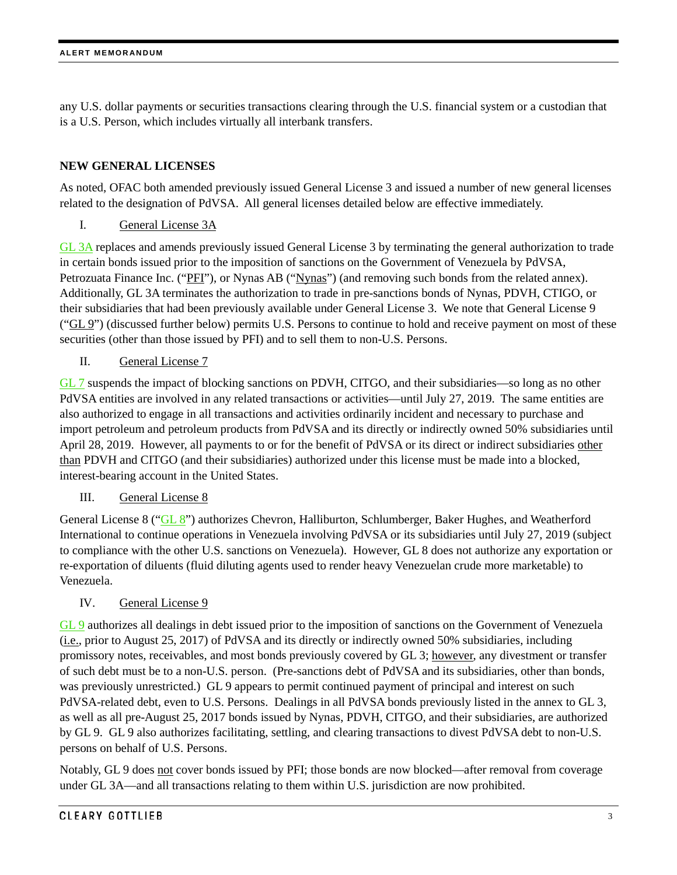any U.S. dollar payments or securities transactions clearing through the U.S. financial system or a custodian that is a U.S. Person, which includes virtually all interbank transfers.

#### **NEW GENERAL LICENSES**

As noted, OFAC both amended previously issued General License 3 and issued a number of new general licenses related to the designation of PdVSA. All general licenses detailed below are effective immediately.

I. General License 3A

[GL 3A](https://www.treasury.gov/resource-center/sanctions/Programs/Documents/venezuela_gl3a.pdf) replaces and amends previously issued General License 3 by terminating the general authorization to trade in certain bonds issued prior to the imposition of sanctions on the Government of Venezuela by PdVSA, Petrozuata Finance Inc. ("PFI"), or Nynas AB ("Nynas") (and removing such bonds from the related annex). Additionally, GL 3A terminates the authorization to trade in pre-sanctions bonds of Nynas, PDVH, CTIGO, or their subsidiaries that had been previously available under General License 3. We note that General License 9 ("GL 9") (discussed further below) permits U.S. Persons to continue to hold and receive payment on most of these securities (other than those issued by PFI) and to sell them to non-U.S. Persons.

II. General License 7

[GL 7](https://www.treasury.gov/resource-center/sanctions/Programs/Documents/venezuela_gl7.pdf) suspends the impact of blocking sanctions on PDVH, CITGO, and their subsidiaries—so long as no other PdVSA entities are involved in any related transactions or activities—until July 27, 2019. The same entities are also authorized to engage in all transactions and activities ordinarily incident and necessary to purchase and import petroleum and petroleum products from PdVSA and its directly or indirectly owned 50% subsidiaries until April 28, 2019. However, all payments to or for the benefit of PdVSA or its direct or indirect subsidiaries other than PDVH and CITGO (and their subsidiaries) authorized under this license must be made into a blocked, interest-bearing account in the United States.

III. General License 8

General License 8 (["GL 8"](https://www.treasury.gov/resource-center/sanctions/Programs/Documents/venezuela_gl8.pdf)) authorizes Chevron, Halliburton, Schlumberger, Baker Hughes, and Weatherford International to continue operations in Venezuela involving PdVSA or its subsidiaries until July 27, 2019 (subject to compliance with the other U.S. sanctions on Venezuela). However, GL 8 does not authorize any exportation or re-exportation of diluents (fluid diluting agents used to render heavy Venezuelan crude more marketable) to Venezuela.

#### IV. General License 9

[GL 9](https://www.treasury.gov/resource-center/sanctions/Programs/Documents/venezuela_gl9.pdf) authorizes all dealings in debt issued prior to the imposition of sanctions on the Government of Venezuela (i.e., prior to August 25, 2017) of PdVSA and its directly or indirectly owned 50% subsidiaries, including promissory notes, receivables, and most bonds previously covered by GL 3; however, any divestment or transfer of such debt must be to a non-U.S. person. (Pre-sanctions debt of PdVSA and its subsidiaries, other than bonds, was previously unrestricted.) GL 9 appears to permit continued payment of principal and interest on such PdVSA-related debt, even to U.S. Persons. Dealings in all PdVSA bonds previously listed in the annex to GL 3, as well as all pre-August 25, 2017 bonds issued by Nynas, PDVH, CITGO, and their subsidiaries, are authorized by GL 9. GL 9 also authorizes facilitating, settling, and clearing transactions to divest PdVSA debt to non-U.S. persons on behalf of U.S. Persons.

Notably, GL 9 does not cover bonds issued by PFI; those bonds are now blocked—after removal from coverage under GL 3A—and all transactions relating to them within U.S. jurisdiction are now prohibited.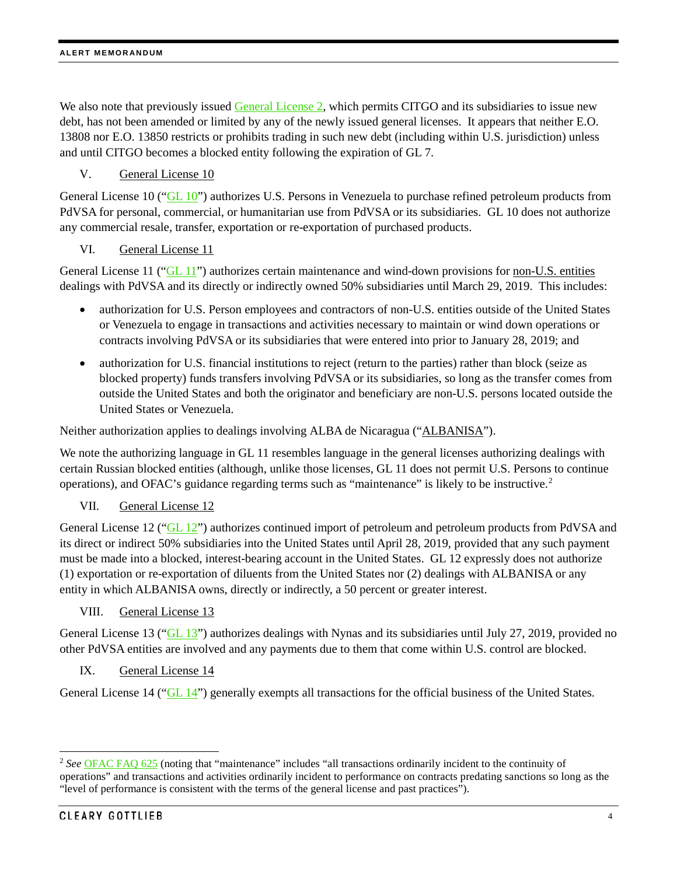#### **ALERT MEMORANDUM**

We also note that previously issued [General License 2,](https://www.treasury.gov/resource-center/sanctions/Programs/Documents/venezuela_gl2.pdf) which permits CITGO and its subsidiaries to issue new debt, has not been amended or limited by any of the newly issued general licenses. It appears that neither E.O. 13808 nor E.O. 13850 restricts or prohibits trading in such new debt (including within U.S. jurisdiction) unless and until CITGO becomes a blocked entity following the expiration of GL 7.

## V. General License 10

General License 10 (["GL 10"](https://www.treasury.gov/resource-center/sanctions/Programs/Documents/venezuela_gl10.pdf)) authorizes U.S. Persons in Venezuela to purchase refined petroleum products from PdVSA for personal, commercial, or humanitarian use from PdVSA or its subsidiaries. GL 10 does not authorize any commercial resale, transfer, exportation or re-exportation of purchased products.

#### VI. General License 11

General License 11 (["GL 11"](https://www.treasury.gov/resource-center/sanctions/Programs/Documents/venezuela_gl11.pdf)) authorizes certain maintenance and wind-down provisions for non-U.S. entities dealings with PdVSA and its directly or indirectly owned 50% subsidiaries until March 29, 2019. This includes:

- authorization for U.S. Person employees and contractors of non-U.S. entities outside of the United States or Venezuela to engage in transactions and activities necessary to maintain or wind down operations or contracts involving PdVSA or its subsidiaries that were entered into prior to January 28, 2019; and
- authorization for U.S. financial institutions to reject (return to the parties) rather than block (seize as blocked property) funds transfers involving PdVSA or its subsidiaries, so long as the transfer comes from outside the United States and both the originator and beneficiary are non-U.S. persons located outside the United States or Venezuela.

Neither authorization applies to dealings involving ALBA de Nicaragua ("ALBANISA").

We note the authorizing language in GL 11 resembles language in the general licenses authorizing dealings with certain Russian blocked entities (although, unlike those licenses, GL 11 does not permit U.S. Persons to continue operations), and OFAC's guidance regarding terms such as "maintenance" is likely to be instructive.<sup>[2](#page-3-0)</sup>

VII. General License 12

General License 12 (["GL 12"](https://www.treasury.gov/resource-center/sanctions/Programs/Documents/venezuela_gl12.pdf)) authorizes continued import of petroleum and petroleum products from PdVSA and its direct or indirect 50% subsidiaries into the United States until April 28, 2019, provided that any such payment must be made into a blocked, interest-bearing account in the United States. GL 12 expressly does not authorize (1) exportation or re-exportation of diluents from the United States nor (2) dealings with ALBANISA or any entity in which ALBANISA owns, directly or indirectly, a 50 percent or greater interest.

VIII. General License 13

General License 13 (["GL 13"](https://www.treasury.gov/resource-center/sanctions/Programs/Documents/venezuela_gl13.pdf)) authorizes dealings with Nynas and its subsidiaries until July 27, 2019, provided no other PdVSA entities are involved and any payments due to them that come within U.S. control are blocked.

IX. General License 14

General License 14 (["GL 14"](https://www.treasury.gov/resource-center/sanctions/Programs/Documents/venezuela_gl14.pdf)) generally exempts all transactions for the official business of the United States.

<span id="page-3-0"></span> <sup>2</sup> *See* [OFAC FAQ 625](https://www.treasury.gov/resource-center/faqs/Sanctions/Pages/faq_other.aspx#ukraine) (noting that "maintenance" includes "all transactions ordinarily incident to the continuity of operations" and transactions and activities ordinarily incident to performance on contracts predating sanctions so long as the "level of performance is consistent with the terms of the general license and past practices").